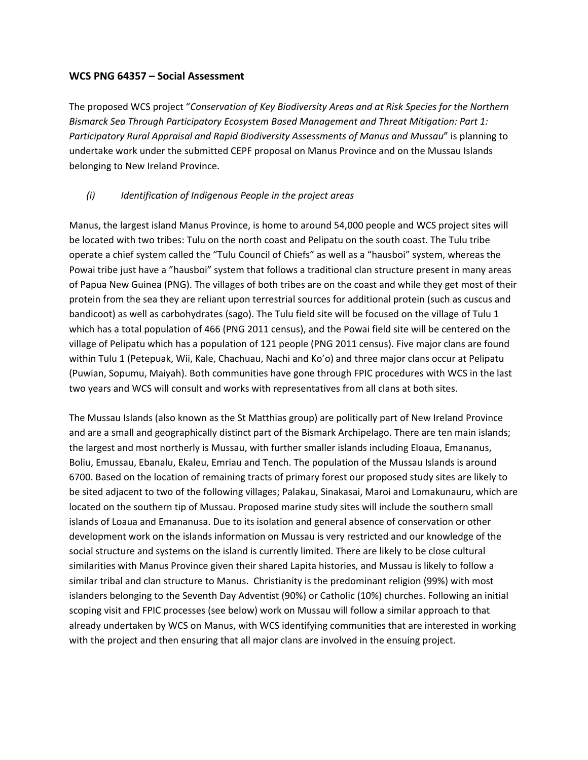#### **WCS PNG 64357 – Social Assessment**

The proposed WCS project "*Conservation of Key Biodiversity Areas and at Risk Species for the Northern Bismarck Sea Through Participatory Ecosystem Based Management and Threat Mitigation: Part 1: Participatory Rural Appraisal and Rapid Biodiversity Assessments of Manus and Mussau*" is planning to undertake work under the submitted CEPF proposal on Manus Province and on the Mussau Islands belonging to New Ireland Province.

## *(i) Identification of Indigenous People in the project areas*

Manus, the largest island Manus Province, is home to around 54,000 people and WCS project sites will be located with two tribes: Tulu on the north coast and Pelipatu on the south coast. The Tulu tribe operate a chief system called the "Tulu Council of Chiefs" as well as a "hausboi" system, whereas the Powai tribe just have a "hausboi" system that follows a traditional clan structure present in many areas of Papua New Guinea (PNG). The villages of both tribes are on the coast and while they get most of their protein from the sea they are reliant upon terrestrial sources for additional protein (such as cuscus and bandicoot) as well as carbohydrates (sago). The Tulu field site will be focused on the village of Tulu 1 which has a total population of 466 (PNG 2011 census), and the Powai field site will be centered on the village of Pelipatu which has a population of 121 people (PNG 2011 census). Five major clans are found within Tulu 1 (Petepuak, Wii, Kale, Chachuau, Nachi and Ko'o) and three major clans occur at Pelipatu (Puwian, Sopumu, Maiyah). Both communities have gone through FPIC procedures with WCS in the last two years and WCS will consult and works with representatives from all clans at both sites.

The Mussau Islands (also known as the St Matthias group) are politically part of New Ireland Province and are a small and geographically distinct part of the Bismark Archipelago. There are ten main islands; the largest and most northerly is Mussau, with further smaller islands including Eloaua, Emananus, Boliu, Emussau, Ebanalu, Ekaleu, Emriau and Tench. The population of the Mussau Islands is around 6700. Based on the location of remaining tracts of primary forest our proposed study sites are likely to be sited adjacent to two of the following villages; Palakau, Sinakasai, Maroi and Lomakunauru, which are located on the southern tip of Mussau. Proposed marine study sites will include the southern small islands of Loaua and Emananusa. Due to its isolation and general absence of conservation or other development work on the islands information on Mussau is very restricted and our knowledge of the social structure and systems on the island is currently limited. There are likely to be close cultural similarities with Manus Province given their shared Lapita histories, and Mussau is likely to follow a similar tribal and clan structure to Manus. Christianity is the predominant religion (99%) with most islanders belonging to the Seventh Day Adventist (90%) or Catholic (10%) churches. Following an initial scoping visit and FPIC processes (see below) work on Mussau will follow a similar approach to that already undertaken by WCS on Manus, with WCS identifying communities that are interested in working with the project and then ensuring that all major clans are involved in the ensuing project.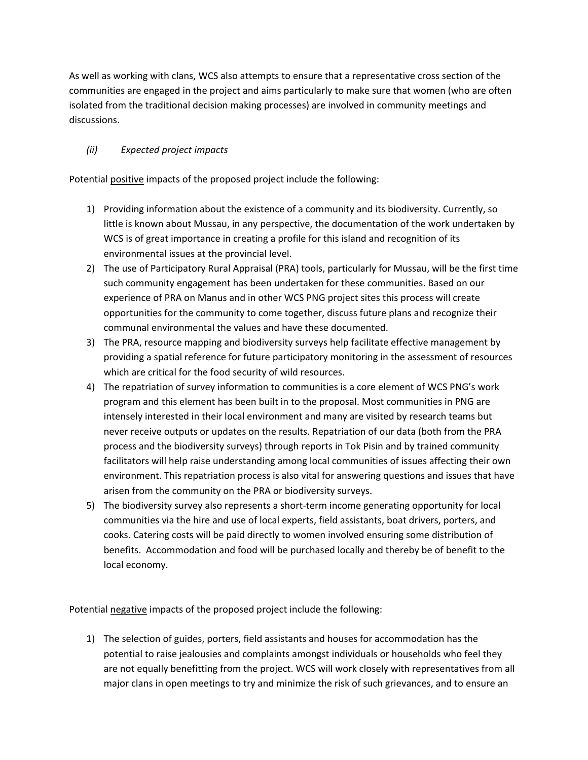As well as working with clans, WCS also attempts to ensure that a representative cross section of the communities are engaged in the project and aims particularly to make sure that women (who are often isolated from the traditional decision making processes) are involved in community meetings and discussions.

## *(ii) Expected project impacts*

Potential positive impacts of the proposed project include the following:

- 1) Providing information about the existence of a community and its biodiversity. Currently, so little is known about Mussau, in any perspective, the documentation of the work undertaken by WCS is of great importance in creating a profile for this island and recognition of its environmental issues at the provincial level.
- 2) The use of Participatory Rural Appraisal (PRA) tools, particularly for Mussau, will be the first time such community engagement has been undertaken for these communities. Based on our experience of PRA on Manus and in other WCS PNG project sites this process will create opportunities for the community to come together, discuss future plans and recognize their communal environmental the values and have these documented.
- 3) The PRA, resource mapping and biodiversity surveys help facilitate effective management by providing a spatial reference for future participatory monitoring in the assessment of resources which are critical for the food security of wild resources.
- 4) The repatriation of survey information to communities is a core element of WCS PNG's work program and this element has been built in to the proposal. Most communities in PNG are intensely interested in their local environment and many are visited by research teams but never receive outputs or updates on the results. Repatriation of our data (both from the PRA process and the biodiversity surveys) through reports in Tok Pisin and by trained community facilitators will help raise understanding among local communities of issues affecting their own environment. This repatriation process is also vital for answering questions and issues that have arisen from the community on the PRA or biodiversity surveys.
- 5) The biodiversity survey also represents a short-term income generating opportunity for local communities via the hire and use of local experts, field assistants, boat drivers, porters, and cooks. Catering costs will be paid directly to women involved ensuring some distribution of benefits. Accommodation and food will be purchased locally and thereby be of benefit to the local economy.

Potential negative impacts of the proposed project include the following:

1) The selection of guides, porters, field assistants and houses for accommodation has the potential to raise jealousies and complaints amongst individuals or households who feel they are not equally benefitting from the project. WCS will work closely with representatives from all major clans in open meetings to try and minimize the risk of such grievances, and to ensure an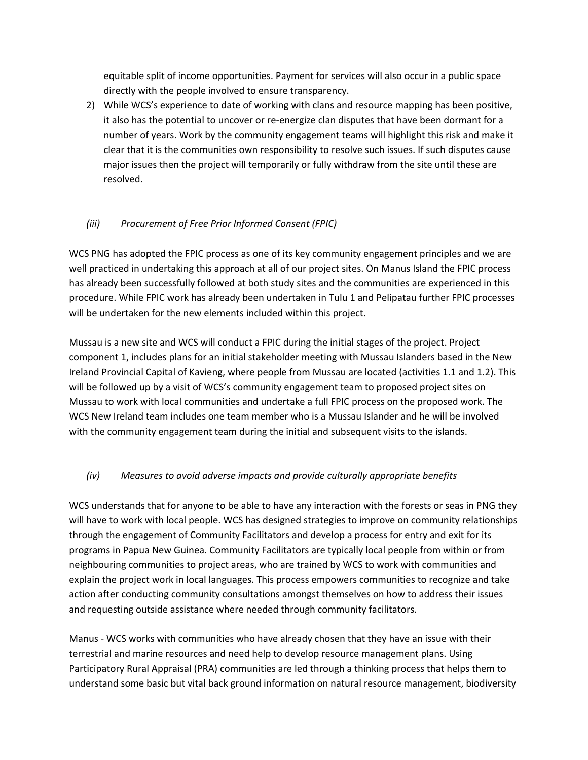equitable split of income opportunities. Payment for services will also occur in a public space directly with the people involved to ensure transparency.

2) While WCS's experience to date of working with clans and resource mapping has been positive, it also has the potential to uncover or re-energize clan disputes that have been dormant for a number of years. Work by the community engagement teams will highlight this risk and make it clear that it is the communities own responsibility to resolve such issues. If such disputes cause major issues then the project will temporarily or fully withdraw from the site until these are resolved.

## *(iii) Procurement of Free Prior Informed Consent (FPIC)*

WCS PNG has adopted the FPIC process as one of its key community engagement principles and we are well practiced in undertaking this approach at all of our project sites. On Manus Island the FPIC process has already been successfully followed at both study sites and the communities are experienced in this procedure. While FPIC work has already been undertaken in Tulu 1 and Pelipatau further FPIC processes will be undertaken for the new elements included within this project.

Mussau is a new site and WCS will conduct a FPIC during the initial stages of the project. Project component 1, includes plans for an initial stakeholder meeting with Mussau Islanders based in the New Ireland Provincial Capital of Kavieng, where people from Mussau are located (activities 1.1 and 1.2). This will be followed up by a visit of WCS's community engagement team to proposed project sites on Mussau to work with local communities and undertake a full FPIC process on the proposed work. The WCS New Ireland team includes one team member who is a Mussau Islander and he will be involved with the community engagement team during the initial and subsequent visits to the islands.

# *(iv) Measures to avoid adverse impacts and provide culturally appropriate benefits*

WCS understands that for anyone to be able to have any interaction with the forests or seas in PNG they will have to work with local people. WCS has designed strategies to improve on community relationships through the engagement of Community Facilitators and develop a process for entry and exit for its programs in Papua New Guinea. Community Facilitators are typically local people from within or from neighbouring communities to project areas, who are trained by WCS to work with communities and explain the project work in local languages. This process empowers communities to recognize and take action after conducting community consultations amongst themselves on how to address their issues and requesting outside assistance where needed through community facilitators.

Manus - WCS works with communities who have already chosen that they have an issue with their terrestrial and marine resources and need help to develop resource management plans. Using Participatory Rural Appraisal (PRA) communities are led through a thinking process that helps them to understand some basic but vital back ground information on natural resource management, biodiversity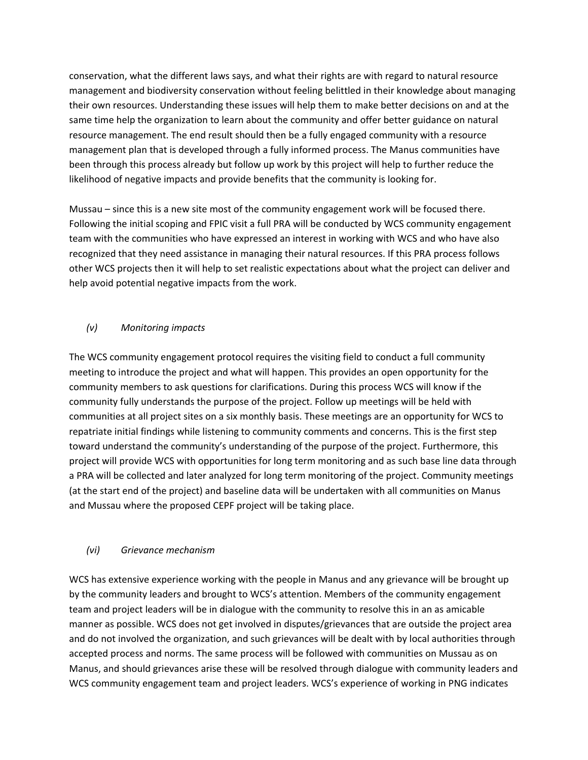conservation, what the different laws says, and what their rights are with regard to natural resource management and biodiversity conservation without feeling belittled in their knowledge about managing their own resources. Understanding these issues will help them to make better decisions on and at the same time help the organization to learn about the community and offer better guidance on natural resource management. The end result should then be a fully engaged community with a resource management plan that is developed through a fully informed process. The Manus communities have been through this process already but follow up work by this project will help to further reduce the likelihood of negative impacts and provide benefits that the community is looking for.

Mussau – since this is a new site most of the community engagement work will be focused there. Following the initial scoping and FPIC visit a full PRA will be conducted by WCS community engagement team with the communities who have expressed an interest in working with WCS and who have also recognized that they need assistance in managing their natural resources. If this PRA process follows other WCS projects then it will help to set realistic expectations about what the project can deliver and help avoid potential negative impacts from the work.

## *(v) Monitoring impacts*

The WCS community engagement protocol requires the visiting field to conduct a full community meeting to introduce the project and what will happen. This provides an open opportunity for the community members to ask questions for clarifications. During this process WCS will know if the community fully understands the purpose of the project. Follow up meetings will be held with communities at all project sites on a six monthly basis. These meetings are an opportunity for WCS to repatriate initial findings while listening to community comments and concerns. This is the first step toward understand the community's understanding of the purpose of the project. Furthermore, this project will provide WCS with opportunities for long term monitoring and as such base line data through a PRA will be collected and later analyzed for long term monitoring of the project. Community meetings (at the start end of the project) and baseline data will be undertaken with all communities on Manus and Mussau where the proposed CEPF project will be taking place.

## *(vi) Grievance mechanism*

WCS has extensive experience working with the people in Manus and any grievance will be brought up by the community leaders and brought to WCS's attention. Members of the community engagement team and project leaders will be in dialogue with the community to resolve this in an as amicable manner as possible. WCS does not get involved in disputes/grievances that are outside the project area and do not involved the organization, and such grievances will be dealt with by local authorities through accepted process and norms. The same process will be followed with communities on Mussau as on Manus, and should grievances arise these will be resolved through dialogue with community leaders and WCS community engagement team and project leaders. WCS's experience of working in PNG indicates